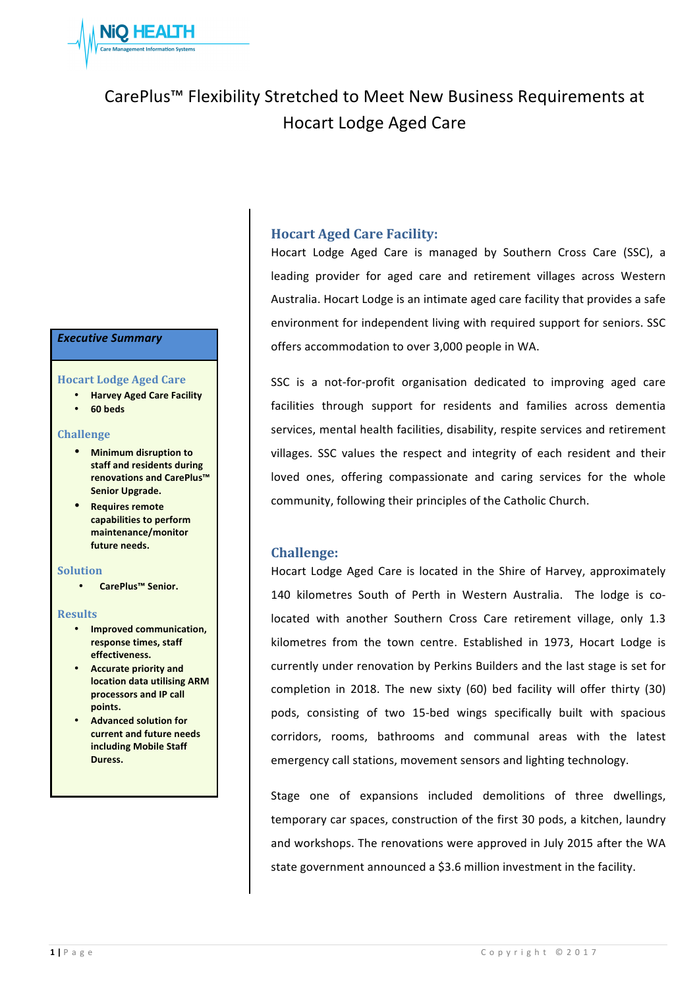

# CarePlus™ Flexibility Stretched to Meet New Business Requirements at Hocart Lodge Aged Care

#### *Executive Summary*

#### **Hocart Lodge Aged Care**

- **Harvey Aged Care Facility**
- **60 beds**

#### **Challenge**

- **•** Minimum disruption to **staff and residents during renovations and CarePlus™ Senior Upgrade.**
- **•** Requires remote capabilities to perform **maintenance/monitor**  future needs.

#### **Solution**

• **CarePlus™ Senior.**

#### **Results**

- **Improved communication, response times, staff effectiveness.**
- **•** Accurate priority and **location data utilising ARM processors and IP call points.**
- **Advanced solution for current and future needs including Mobile Staff Duress.**

## **Hocart Aged Care Facility:**

Hocart Lodge Aged Care is managed by Southern Cross Care (SSC), a leading provider for aged care and retirement villages across Western Australia. Hocart Lodge is an intimate aged care facility that provides a safe environment for independent living with required support for seniors. SSC offers accommodation to over 3,000 people in WA.

SSC is a not-for-profit organisation dedicated to improving aged care facilities through support for residents and families across dementia services, mental health facilities, disability, respite services and retirement villages. SSC values the respect and integrity of each resident and their loved ones, offering compassionate and caring services for the whole community, following their principles of the Catholic Church.

#### **Challenge:**

Hocart Lodge Aged Care is located in the Shire of Harvey, approximately 140 kilometres South of Perth in Western Australia. The lodge is colocated with another Southern Cross Care retirement village, only 1.3 kilometres from the town centre. Established in 1973, Hocart Lodge is currently under renovation by Perkins Builders and the last stage is set for completion in 2018. The new sixty (60) bed facility will offer thirty (30) pods, consisting of two 15-bed wings specifically built with spacious corridors, rooms, bathrooms and communal areas with the latest emergency call stations, movement sensors and lighting technology.

Stage one of expansions included demolitions of three dwellings, temporary car spaces, construction of the first 30 pods, a kitchen, laundry and workshops. The renovations were approved in July 2015 after the WA state government announced a \$3.6 million investment in the facility.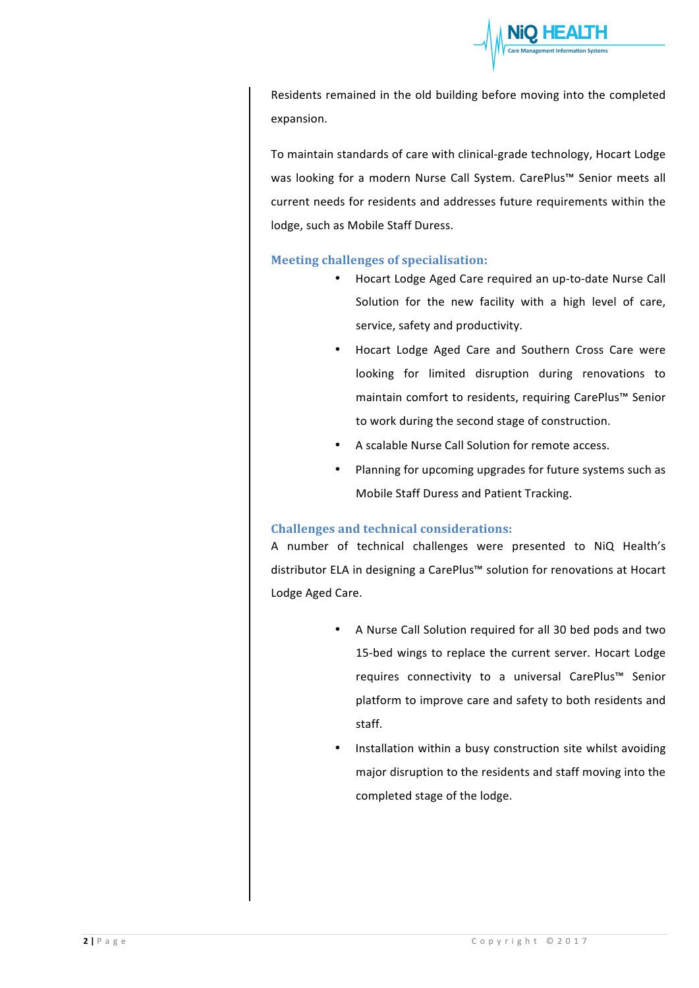

Residents remained in the old building before moving into the completed expansion.

To maintain standards of care with clinical-grade technology, Hocart Lodge was looking for a modern Nurse Call System. CarePlus™ Senior meets all current needs for residents and addresses future requirements within the lodge, such as Mobile Staff Duress.

## **Meeting challenges of specialisation:**

- Hocart Lodge Aged Care required an up-to-date Nurse Call Solution for the new facility with a high level of care, service, safety and productivity.
- Hocart Lodge Aged Care and Southern Cross Care were looking for limited disruption during renovations to maintain comfort to residents, requiring CarePlus™ Senior to work during the second stage of construction.
- A scalable Nurse Call Solution for remote access.
- Planning for upcoming upgrades for future systems such as Mobile Staff Duress and Patient Tracking.

#### **Challenges and technical considerations:**

A number of technical challenges were presented to NiQ Health's distributor ELA in designing a CarePlus™ solution for renovations at Hocart Lodge Aged Care.

- A Nurse Call Solution required for all 30 bed pods and two 15-bed wings to replace the current server. Hocart Lodge requires connectivity to a universal CarePlus™ Senior platform to improve care and safety to both residents and staff.
- Installation within a busy construction site whilst avoiding major disruption to the residents and staff moving into the completed stage of the lodge.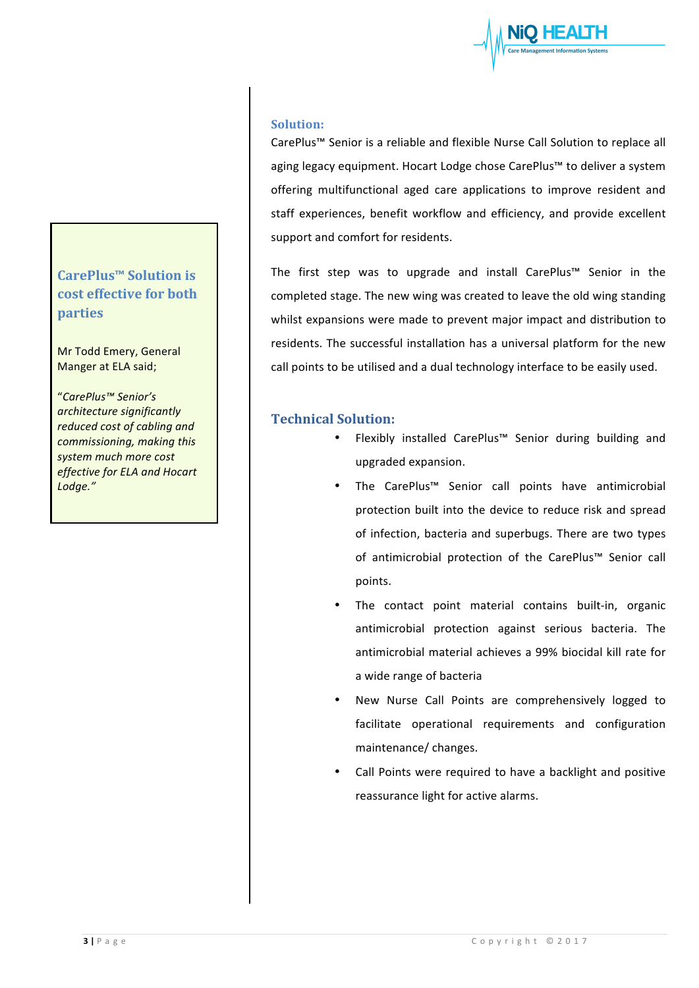## **CarePlus™ Solution is cost effective for both parties**

Mr Todd Emery, General Manger at ELA said;

"*CarePlus™ Senior's architecture significantly reduced* cost of cabling and *commissioning, making this*  system much more cost *effective for ELA and Hocart Lodge."*

### **Solution:**

CarePlus™ Senior is a reliable and flexible Nurse Call Solution to replace all aging legacy equipment. Hocart Lodge chose CarePlus™ to deliver a system offering multifunctional aged care applications to improve resident and staff experiences, benefit workflow and efficiency, and provide excellent support and comfort for residents.

The first step was to upgrade and install CarePlus™ Senior in the completed stage. The new wing was created to leave the old wing standing whilst expansions were made to prevent major impact and distribution to residents. The successful installation has a universal platform for the new call points to be utilised and a dual technology interface to be easily used.

## **Technical Solution:**

- Flexibly installed CarePlus™ Senior during building and upgraded expansion.
- The CarePlus™ Senior call points have antimicrobial protection built into the device to reduce risk and spread of infection, bacteria and superbugs. There are two types of antimicrobial protection of the CarePlus™ Senior call points.
- The contact point material contains built-in, organic antimicrobial protection against serious bacteria. The antimicrobial material achieves a 99% biocidal kill rate for a wide range of bacteria
- New Nurse Call Points are comprehensively logged to facilitate operational requirements and configuration maintenance/ changes.
- Call Points were required to have a backlight and positive reassurance light for active alarms.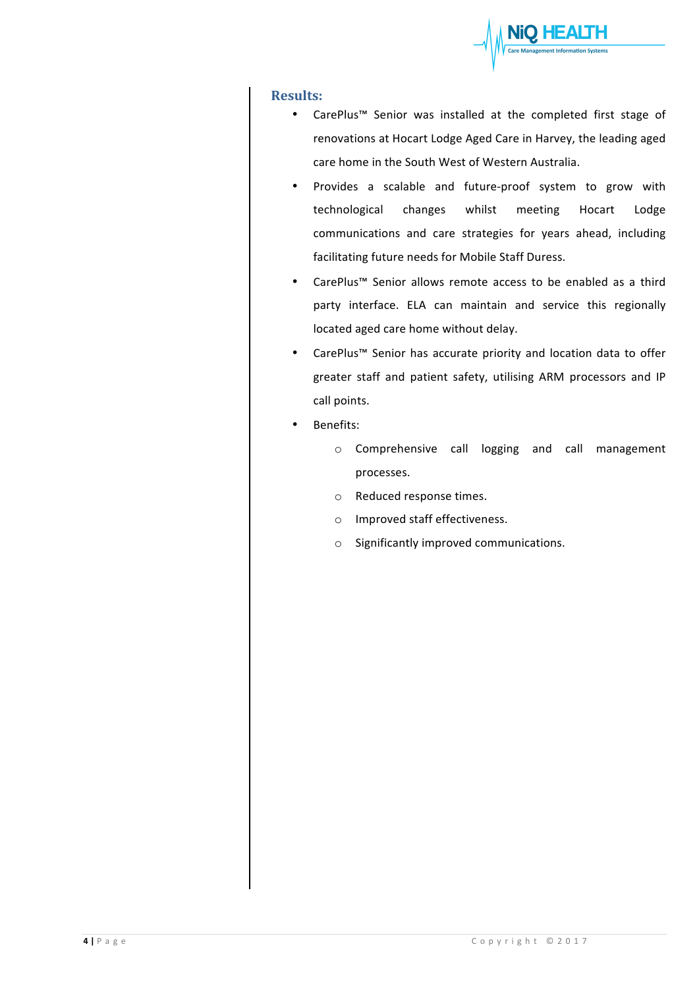

## **Results:**

- CarePlus™ Senior was installed at the completed first stage of renovations at Hocart Lodge Aged Care in Harvey, the leading aged care home in the South West of Western Australia.
- Provides a scalable and future-proof system to grow with technological changes whilst meeting Hocart Lodge communications and care strategies for years ahead, including facilitating future needs for Mobile Staff Duress.
- CarePlus™ Senior allows remote access to be enabled as a third party interface. ELA can maintain and service this regionally located aged care home without delay.
- CarePlus™ Senior has accurate priority and location data to offer greater staff and patient safety, utilising ARM processors and IP call points.
- Benefits:
	- o Comprehensive call logging and call management processes.
	- o Reduced response times.
	- o Improved staff effectiveness.
	- $\circ$  Significantly improved communications.